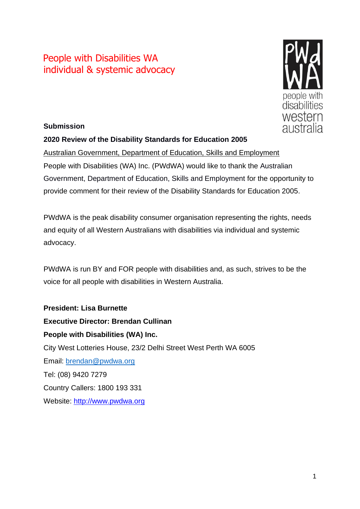# People with Disabilities WA individual & systemic advocacy



### **Submission**

### **2020 Review of the Disability Standards for Education 2005**

Australian Government, Department of Education, Skills and Employment People with Disabilities (WA) Inc. (PWdWA) would like to thank the Australian Government, Department of Education, Skills and Employment for the opportunity to provide comment for their review of the Disability Standards for Education 2005.

PWdWA is the peak disability consumer organisation representing the rights, needs and equity of all Western Australians with disabilities via individual and systemic advocacy.

PWdWA is run BY and FOR people with disabilities and, as such, strives to be the voice for all people with disabilities in Western Australia.

**President: Lisa Burnette Executive Director: Brendan Cullinan People with Disabilities (WA) Inc.** City West Lotteries House, 23/2 Delhi Street West Perth WA 6005 Email: [brendan@pwdwa.org](mailto:brendan@pwdwa.org) Tel: (08) 9420 7279 Country Callers: 1800 193 331 Website: [http://www.pwdwa.org](http://www.pwdwa.org/)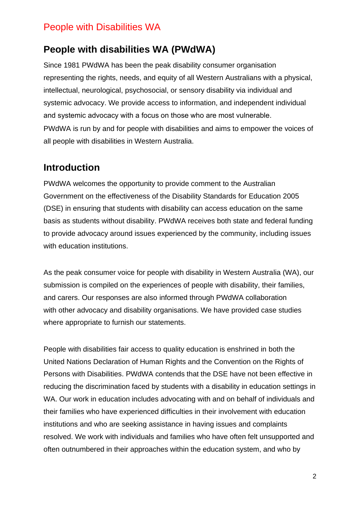### **People with disabilities WA (PWdWA)**

Since 1981 PWdWA has been the peak disability consumer organisation representing the rights, needs, and equity of all Western Australians with a physical, intellectual, neurological, psychosocial, or sensory disability via individual and systemic advocacy. We provide access to information, and independent individual and systemic advocacy with a focus on those who are most vulnerable.   PWdWA is run by and for people with disabilities and aims to empower the voices of all people with disabilities in Western Australia.

### **Introduction**

PWdWA welcomes the opportunity to provide comment to the Australian Government on the effectiveness of the Disability Standards for Education 2005 (DSE) in ensuring that students with disability can access education on the same basis as students without disability. PWdWA receives both state and federal funding to provide advocacy around issues experienced by the community, including issues with education institutions.

As the peak consumer voice for people with disability in Western Australia (WA), our submission is compiled on the experiences of people with disability, their families, and carers. Our responses are also informed through PWdWA collaboration with other advocacy and disability organisations. We have provided case studies where appropriate to furnish our statements.

People with disabilities fair access to quality education is enshrined in both the United Nations Declaration of Human Rights and the Convention on the Rights of Persons with Disabilities. PWdWA contends that the DSE have not been effective in reducing the discrimination faced by students with a disability in education settings in WA. Our work in education includes advocating with and on behalf of individuals and their families who have experienced difficulties in their involvement with education institutions and who are seeking assistance in having issues and complaints resolved. We work with individuals and families who have often felt unsupported and often outnumbered in their approaches within the education system, and who by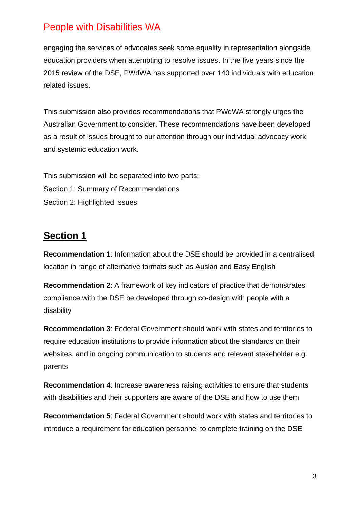engaging the services of advocates seek some equality in representation alongside education providers when attempting to resolve issues. In the five years since the 2015 review of the DSE, PWdWA has supported over 140 individuals with education related issues.

This submission also provides recommendations that PWdWA strongly urges the Australian Government to consider. These recommendations have been developed as a result of issues brought to our attention through our individual advocacy work and systemic education work.

This submission will be separated into two parts: Section 1: Summary of Recommendations Section 2: Highlighted Issues

### **Section 1**

**Recommendation 1**: Information about the DSE should be provided in a centralised location in range of alternative formats such as Auslan and Easy English

**Recommendation 2**: A framework of key indicators of practice that demonstrates compliance with the DSE be developed through co-design with people with a disability

**Recommendation 3**: Federal Government should work with states and territories to require education institutions to provide information about the standards on their websites, and in ongoing communication to students and relevant stakeholder e.g. parents

**Recommendation 4**: Increase awareness raising activities to ensure that students with disabilities and their supporters are aware of the DSE and how to use them

**Recommendation 5**: Federal Government should work with states and territories to introduce a requirement for education personnel to complete training on the DSE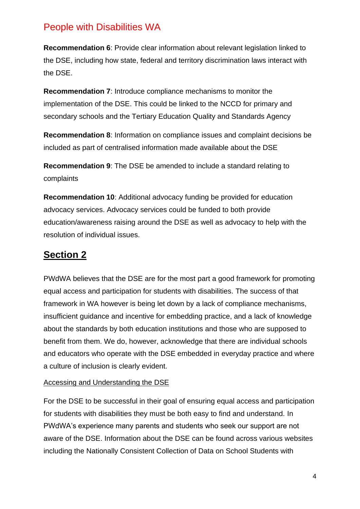**Recommendation 6**: Provide clear information about relevant legislation linked to the DSE, including how state, federal and territory discrimination laws interact with the DSE.

**Recommendation 7**: Introduce compliance mechanisms to monitor the implementation of the DSE. This could be linked to the NCCD for primary and secondary schools and the Tertiary Education Quality and Standards Agency

**Recommendation 8**: Information on compliance issues and complaint decisions be included as part of centralised information made available about the DSE

**Recommendation 9**: The DSE be amended to include a standard relating to complaints

**Recommendation 10**: Additional advocacy funding be provided for education advocacy services. Advocacy services could be funded to both provide education/awareness raising around the DSE as well as advocacy to help with the resolution of individual issues.

# **Section 2**

PWdWA believes that the DSE are for the most part a good framework for promoting equal access and participation for students with disabilities. The success of that framework in WA however is being let down by a lack of compliance mechanisms, insufficient guidance and incentive for embedding practice, and a lack of knowledge about the standards by both education institutions and those who are supposed to benefit from them. We do, however, acknowledge that there are individual schools and educators who operate with the DSE embedded in everyday practice and where a culture of inclusion is clearly evident.

### Accessing and Understanding the DSE

For the DSE to be successful in their goal of ensuring equal access and participation for students with disabilities they must be both easy to find and understand. In PWdWA's experience many parents and students who seek our support are not aware of the DSE. Information about the DSE can be found across various websites including the Nationally Consistent Collection of Data on School Students with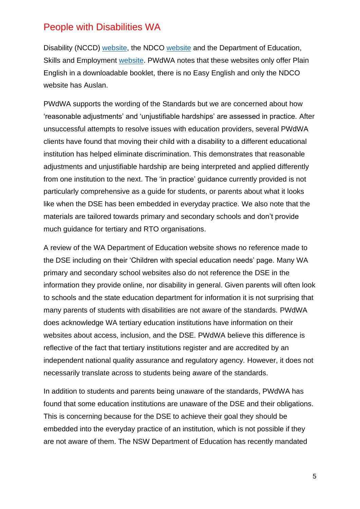Disability (NCCD) [website,](https://www.nccd.edu.au/disability-standards-education) the NDCO [website](https://ddaedustandards.info/) and the Department of Education, Skills and Employment [website.](https://www.education.gov.au/disability-standards-education-2005) PWdWA notes that these websites only offer Plain English in a downloadable booklet, there is no Easy English and only the NDCO website has Auslan.

PWdWA supports the wording of the Standards but we are concerned about how 'reasonable adjustments' and 'unjustifiable hardships' are assessed in practice. After unsuccessful attempts to resolve issues with education providers, several PWdWA clients have found that moving their child with a disability to a different educational institution has helped eliminate discrimination. This demonstrates that reasonable adjustments and unjustifiable hardship are being interpreted and applied differently from one institution to the next. The 'in practice' guidance currently provided is not particularly comprehensive as a guide for students, or parents about what it looks like when the DSE has been embedded in everyday practice. We also note that the materials are tailored towards primary and secondary schools and don't provide much guidance for tertiary and RTO organisations.

A review of the WA Department of Education website shows no reference made to the DSE including on their 'Children with special education needs' page. Many WA primary and secondary school websites also do not reference the DSE in the information they provide online, nor disability in general. Given parents will often look to schools and the state education department for information it is not surprising that many parents of students with disabilities are not aware of the standards. PWdWA does acknowledge WA tertiary education institutions have information on their websites about access, inclusion, and the DSE. PWdWA believe this difference is reflective of the fact that tertiary institutions register and are accredited by an independent national quality assurance and regulatory agency. However, it does not necessarily translate across to students being aware of the standards.

In addition to students and parents being unaware of the standards, PWdWA has found that some education institutions are unaware of the DSE and their obligations. This is concerning because for the DSE to achieve their goal they should be embedded into the everyday practice of an institution, which is not possible if they are not aware of them. The NSW Department of Education has recently mandated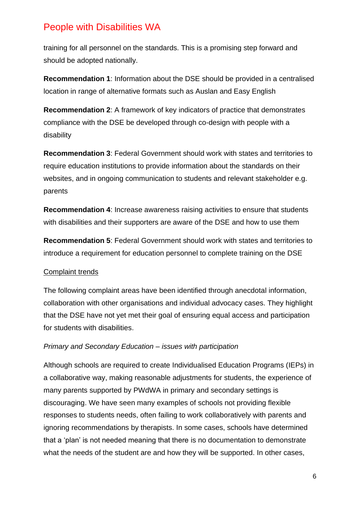training for all personnel on the standards. This is a promising step forward and should be adopted nationally.

**Recommendation 1**: Information about the DSE should be provided in a centralised location in range of alternative formats such as Auslan and Easy English

**Recommendation 2**: A framework of key indicators of practice that demonstrates compliance with the DSE be developed through co-design with people with a disability

**Recommendation 3**: Federal Government should work with states and territories to require education institutions to provide information about the standards on their websites, and in ongoing communication to students and relevant stakeholder e.g. parents

**Recommendation 4**: Increase awareness raising activities to ensure that students with disabilities and their supporters are aware of the DSE and how to use them

**Recommendation 5**: Federal Government should work with states and territories to introduce a requirement for education personnel to complete training on the DSE

### Complaint trends

The following complaint areas have been identified through anecdotal information, collaboration with other organisations and individual advocacy cases. They highlight that the DSE have not vet met their goal of ensuring equal access and participation for students with disabilities.

### *Primary and Secondary Education – issues with participation*

Although schools are required to create Individualised Education Programs (IEPs) in a collaborative way, making reasonable adjustments for students, the experience of many parents supported by PWdWA in primary and secondary settings is discouraging. We have seen many examples of schools not providing flexible responses to students needs, often failing to work collaboratively with parents and ignoring recommendations by therapists. In some cases, schools have determined that a 'plan' is not needed meaning that there is no documentation to demonstrate what the needs of the student are and how they will be supported. In other cases,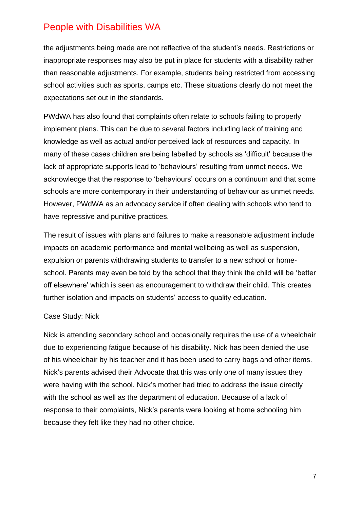the adjustments being made are not reflective of the student's needs. Restrictions or inappropriate responses may also be put in place for students with a disability rather than reasonable adjustments. For example, students being restricted from accessing school activities such as sports, camps etc. These situations clearly do not meet the expectations set out in the standards.

PWdWA has also found that complaints often relate to schools failing to properly implement plans. This can be due to several factors including lack of training and knowledge as well as actual and/or perceived lack of resources and capacity. In many of these cases children are being labelled by schools as 'difficult' because the lack of appropriate supports lead to 'behaviours' resulting from unmet needs. We acknowledge that the response to 'behaviours' occurs on a continuum and that some schools are more contemporary in their understanding of behaviour as unmet needs. However, PWdWA as an advocacy service if often dealing with schools who tend to have repressive and punitive practices.

The result of issues with plans and failures to make a reasonable adjustment include impacts on academic performance and mental wellbeing as well as suspension, expulsion or parents withdrawing students to transfer to a new school or homeschool. Parents may even be told by the school that they think the child will be 'better off elsewhere' which is seen as encouragement to withdraw their child. This creates further isolation and impacts on students' access to quality education.

#### Case Study: Nick

Nick is attending secondary school and occasionally requires the use of a wheelchair due to experiencing fatigue because of his disability. Nick has been denied the use of his wheelchair by his teacher and it has been used to carry bags and other items. Nick's parents advised their Advocate that this was only one of many issues they were having with the school. Nick's mother had tried to address the issue directly with the school as well as the department of education. Because of a lack of response to their complaints, Nick's parents were looking at home schooling him because they felt like they had no other choice.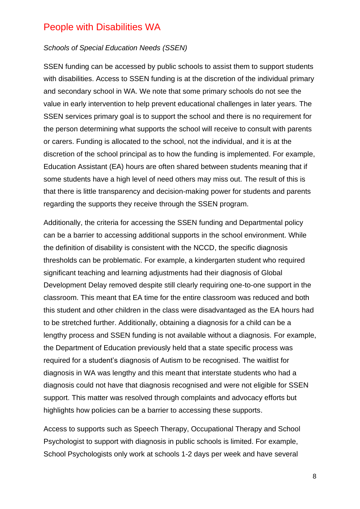#### *Schools of Special Education Needs (SSEN)*

SSEN funding can be accessed by public schools to assist them to support students with disabilities. Access to SSEN funding is at the discretion of the individual primary and secondary school in WA. We note that some primary schools do not see the value in early intervention to help prevent educational challenges in later years. The SSEN services primary goal is to support the school and there is no requirement for the person determining what supports the school will receive to consult with parents or carers. Funding is allocated to the school, not the individual, and it is at the discretion of the school principal as to how the funding is implemented. For example, Education Assistant (EA) hours are often shared between students meaning that if some students have a high level of need others may miss out. The result of this is that there is little transparency and decision-making power for students and parents regarding the supports they receive through the SSEN program.

Additionally, the criteria for accessing the SSEN funding and Departmental policy can be a barrier to accessing additional supports in the school environment. While the definition of disability is consistent with the NCCD, the specific diagnosis thresholds can be problematic. For example, a kindergarten student who required significant teaching and learning adjustments had their diagnosis of Global Development Delay removed despite still clearly requiring one-to-one support in the classroom. This meant that EA time for the entire classroom was reduced and both this student and other children in the class were disadvantaged as the EA hours had to be stretched further. Additionally, obtaining a diagnosis for a child can be a lengthy process and SSEN funding is not available without a diagnosis. For example, the Department of Education previously held that a state specific process was required for a student's diagnosis of Autism to be recognised. The waitlist for diagnosis in WA was lengthy and this meant that interstate students who had a diagnosis could not have that diagnosis recognised and were not eligible for SSEN support. This matter was resolved through complaints and advocacy efforts but highlights how policies can be a barrier to accessing these supports.

Access to supports such as Speech Therapy, Occupational Therapy and School Psychologist to support with diagnosis in public schools is limited. For example, School Psychologists only work at schools 1-2 days per week and have several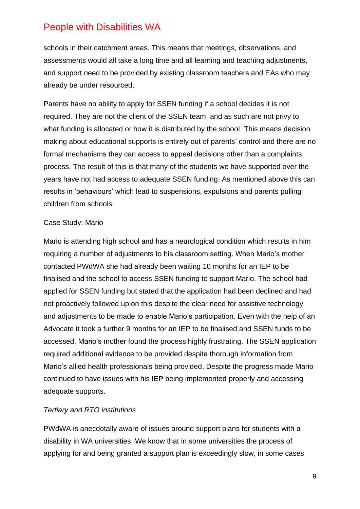schools in their catchment areas. This means that meetings, observations, and assessments would all take a long time and all learning and teaching adjustments, and support need to be provided by existing classroom teachers and EAs who may already be under resourced.

Parents have no ability to apply for SSEN funding if a school decides it is not required. They are not the client of the SSEN team, and as such are not privy to what funding is allocated or how it is distributed by the school. This means decision making about educational supports is entirely out of parents' control and there are no formal mechanisms they can access to appeal decisions other than a complaints process. The result of this is that many of the students we have supported over the years have not had access to adequate SSEN funding. As mentioned above this can results in 'behaviours' which lead to suspensions, expulsions and parents pulling children from schools.

### Case Study: Mario

Mario is attending high school and has a neurological condition which results in him requiring a number of adjustments to his classroom setting. When Mario's mother contacted PWdWA she had already been waiting 10 months for an IEP to be finalised and the school to access SSEN funding to support Mario. The school had applied for SSEN funding but stated that the application had been declined and had not proactively followed up on this despite the clear need for assistive technology and adjustments to be made to enable Mario's participation. Even with the help of an Advocate it took a further 9 months for an IEP to be finalised and SSEN funds to be accessed. Mario's mother found the process highly frustrating. The SSEN application required additional evidence to be provided despite thorough information from Mario's allied health professionals being provided. Despite the progress made Mario continued to have issues with his IEP being implemented properly and accessing adequate supports.

### *Tertiary and RTO institutions*

PWdWA is anecdotally aware of issues around support plans for students with a disability in WA universities. We know that in some universities the process of applying for and being granted a support plan is exceedingly slow, in some cases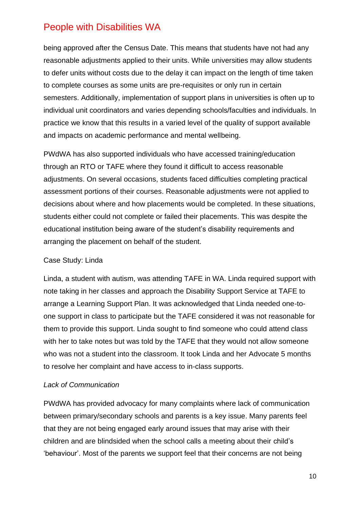being approved after the Census Date. This means that students have not had any reasonable adjustments applied to their units. While universities may allow students to defer units without costs due to the delay it can impact on the length of time taken to complete courses as some units are pre-requisites or only run in certain semesters. Additionally, implementation of support plans in universities is often up to individual unit coordinators and varies depending schools/faculties and individuals. In practice we know that this results in a varied level of the quality of support available and impacts on academic performance and mental wellbeing.

PWdWA has also supported individuals who have accessed training/education through an RTO or TAFE where they found it difficult to access reasonable adjustments. On several occasions, students faced difficulties completing practical assessment portions of their courses. Reasonable adjustments were not applied to decisions about where and how placements would be completed. In these situations, students either could not complete or failed their placements. This was despite the educational institution being aware of the student's disability requirements and arranging the placement on behalf of the student.

### Case Study: Linda

Linda, a student with autism, was attending TAFE in WA. Linda required support with note taking in her classes and approach the Disability Support Service at TAFE to arrange a Learning Support Plan. It was acknowledged that Linda needed one-toone support in class to participate but the TAFE considered it was not reasonable for them to provide this support. Linda sought to find someone who could attend class with her to take notes but was told by the TAFE that they would not allow someone who was not a student into the classroom. It took Linda and her Advocate 5 months to resolve her complaint and have access to in-class supports.

### *Lack of Communication*

PWdWA has provided advocacy for many complaints where lack of communication between primary/secondary schools and parents is a key issue. Many parents feel that they are not being engaged early around issues that may arise with their children and are blindsided when the school calls a meeting about their child's 'behaviour'. Most of the parents we support feel that their concerns are not being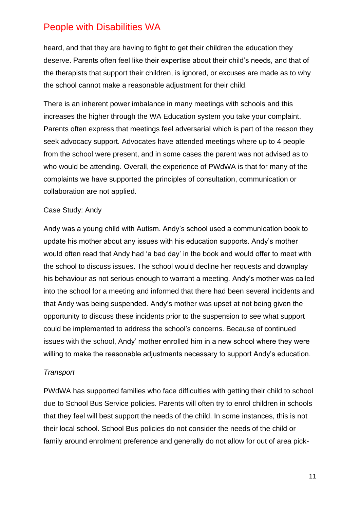heard, and that they are having to fight to get their children the education they deserve. Parents often feel like their expertise about their child's needs, and that of the therapists that support their children, is ignored, or excuses are made as to why the school cannot make a reasonable adjustment for their child.

There is an inherent power imbalance in many meetings with schools and this increases the higher through the WA Education system you take your complaint. Parents often express that meetings feel adversarial which is part of the reason they seek advocacy support. Advocates have attended meetings where up to 4 people from the school were present, and in some cases the parent was not advised as to who would be attending. Overall, the experience of PWdWA is that for many of the complaints we have supported the principles of consultation, communication or collaboration are not applied.

#### Case Study: Andy

Andy was a young child with Autism. Andy's school used a communication book to update his mother about any issues with his education supports. Andy's mother would often read that Andy had 'a bad day' in the book and would offer to meet with the school to discuss issues. The school would decline her requests and downplay his behaviour as not serious enough to warrant a meeting. Andy's mother was called into the school for a meeting and informed that there had been several incidents and that Andy was being suspended. Andy's mother was upset at not being given the opportunity to discuss these incidents prior to the suspension to see what support could be implemented to address the school's concerns. Because of continued issues with the school, Andy' mother enrolled him in a new school where they were willing to make the reasonable adjustments necessary to support Andy's education.

#### *Transport*

PWdWA has supported families who face difficulties with getting their child to school due to School Bus Service policies. Parents will often try to enrol children in schools that they feel will best support the needs of the child. In some instances, this is not their local school. School Bus policies do not consider the needs of the child or family around enrolment preference and generally do not allow for out of area pick-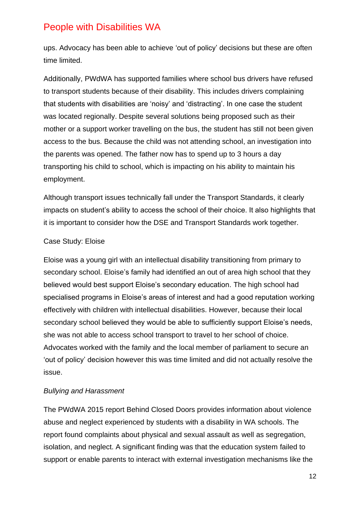ups. Advocacy has been able to achieve 'out of policy' decisions but these are often time limited.

Additionally, PWdWA has supported families where school bus drivers have refused to transport students because of their disability. This includes drivers complaining that students with disabilities are 'noisy' and 'distracting'. In one case the student was located regionally. Despite several solutions being proposed such as their mother or a support worker travelling on the bus, the student has still not been given access to the bus. Because the child was not attending school, an investigation into the parents was opened. The father now has to spend up to 3 hours a day transporting his child to school, which is impacting on his ability to maintain his employment.

Although transport issues technically fall under the Transport Standards, it clearly impacts on student's ability to access the school of their choice. It also highlights that it is important to consider how the DSE and Transport Standards work together.

### Case Study: Eloise

Eloise was a young girl with an intellectual disability transitioning from primary to secondary school. Eloise's family had identified an out of area high school that they believed would best support Eloise's secondary education. The high school had specialised programs in Eloise's areas of interest and had a good reputation working effectively with children with intellectual disabilities. However, because their local secondary school believed they would be able to sufficiently support Eloise's needs, she was not able to access school transport to travel to her school of choice. Advocates worked with the family and the local member of parliament to secure an 'out of policy' decision however this was time limited and did not actually resolve the issue.

### *Bullying and Harassment*

The PWdWA 2015 report Behind Closed Doors provides information about violence abuse and neglect experienced by students with a disability in WA schools. The report found complaints about physical and sexual assault as well as segregation, isolation, and neglect. A significant finding was that the education system failed to support or enable parents to interact with external investigation mechanisms like the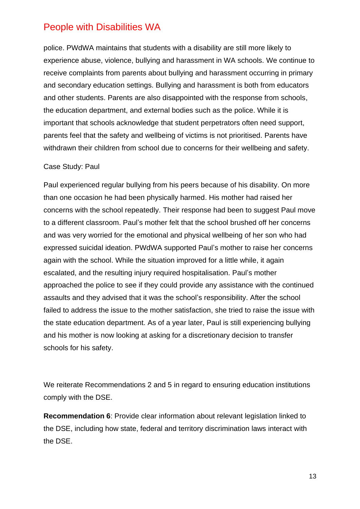police. PWdWA maintains that students with a disability are still more likely to experience abuse, violence, bullying and harassment in WA schools. We continue to receive complaints from parents about bullying and harassment occurring in primary and secondary education settings. Bullying and harassment is both from educators and other students. Parents are also disappointed with the response from schools, the education department, and external bodies such as the police. While it is important that schools acknowledge that student perpetrators often need support, parents feel that the safety and wellbeing of victims is not prioritised. Parents have withdrawn their children from school due to concerns for their wellbeing and safety.

#### Case Study: Paul

Paul experienced regular bullying from his peers because of his disability. On more than one occasion he had been physically harmed. His mother had raised her concerns with the school repeatedly. Their response had been to suggest Paul move to a different classroom. Paul's mother felt that the school brushed off her concerns and was very worried for the emotional and physical wellbeing of her son who had expressed suicidal ideation. PWdWA supported Paul's mother to raise her concerns again with the school. While the situation improved for a little while, it again escalated, and the resulting injury required hospitalisation. Paul's mother approached the police to see if they could provide any assistance with the continued assaults and they advised that it was the school's responsibility. After the school failed to address the issue to the mother satisfaction, she tried to raise the issue with the state education department. As of a year later, Paul is still experiencing bullying and his mother is now looking at asking for a discretionary decision to transfer schools for his safety.

We reiterate Recommendations 2 and 5 in regard to ensuring education institutions comply with the DSE.

**Recommendation 6**: Provide clear information about relevant legislation linked to the DSE, including how state, federal and territory discrimination laws interact with the DSE.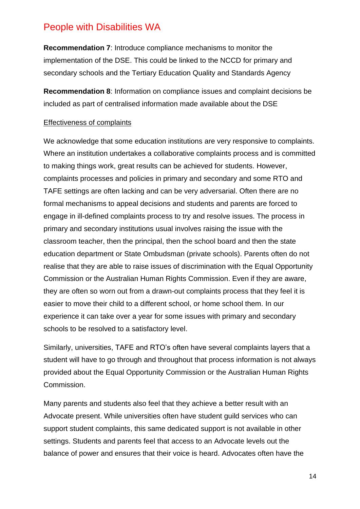**Recommendation 7**: Introduce compliance mechanisms to monitor the implementation of the DSE. This could be linked to the NCCD for primary and secondary schools and the Tertiary Education Quality and Standards Agency

**Recommendation 8**: Information on compliance issues and complaint decisions be included as part of centralised information made available about the DSE

#### Effectiveness of complaints

We acknowledge that some education institutions are very responsive to complaints. Where an institution undertakes a collaborative complaints process and is committed to making things work, great results can be achieved for students. However, complaints processes and policies in primary and secondary and some RTO and TAFE settings are often lacking and can be very adversarial. Often there are no formal mechanisms to appeal decisions and students and parents are forced to engage in ill-defined complaints process to try and resolve issues. The process in primary and secondary institutions usual involves raising the issue with the classroom teacher, then the principal, then the school board and then the state education department or State Ombudsman (private schools). Parents often do not realise that they are able to raise issues of discrimination with the Equal Opportunity Commission or the Australian Human Rights Commission. Even if they are aware, they are often so worn out from a drawn-out complaints process that they feel it is easier to move their child to a different school, or home school them. In our experience it can take over a year for some issues with primary and secondary schools to be resolved to a satisfactory level.

Similarly, universities, TAFE and RTO's often have several complaints layers that a student will have to go through and throughout that process information is not always provided about the Equal Opportunity Commission or the Australian Human Rights Commission.

Many parents and students also feel that they achieve a better result with an Advocate present. While universities often have student guild services who can support student complaints, this same dedicated support is not available in other settings. Students and parents feel that access to an Advocate levels out the balance of power and ensures that their voice is heard. Advocates often have the